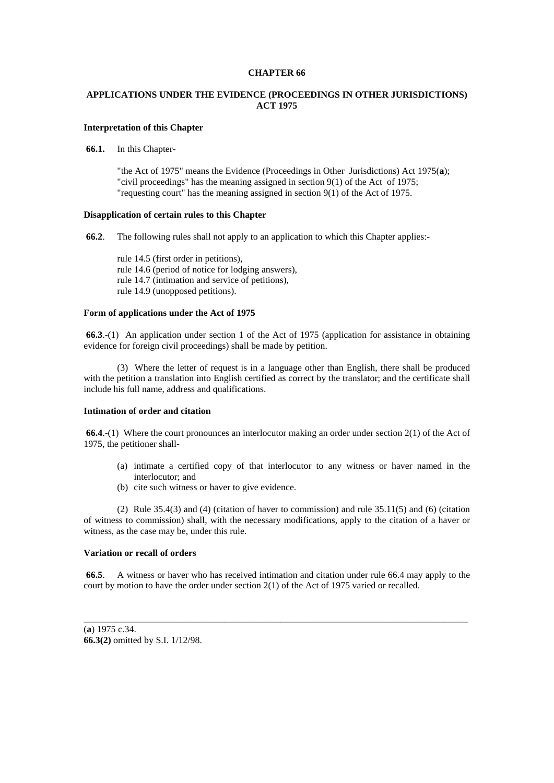#### **CHAPTER 66**

# **APPLICATIONS UNDER THE EVIDENCE (PROCEEDINGS IN OTHER JURISDICTIONS) ACT 1975**

## **Interpretation of this Chapter**

**66.1.** In this Chapter-

"the Act of 1975" means the Evidence (Proceedings in Other Jurisdictions) Act 1975(**a**); "civil proceedings" has the meaning assigned in section 9(1) of the Act of 1975; "requesting court" has the meaning assigned in section 9(1) of the Act of 1975.

## **Disapplication of certain rules to this Chapter**

**66.2**. The following rules shall not apply to an application to which this Chapter applies:-

rule 14.5 (first order in petitions), rule 14.6 (period of notice for lodging answers), rule 14.7 (intimation and service of petitions), rule 14.9 (unopposed petitions).

## **Form of applications under the Act of 1975**

**66.3**.-(1) An application under section 1 of the Act of 1975 (application for assistance in obtaining evidence for foreign civil proceedings) shall be made by petition.

 (3) Where the letter of request is in a language other than English, there shall be produced with the petition a translation into English certified as correct by the translator; and the certificate shall include his full name, address and qualifications.

## **Intimation of order and citation**

 **66.4**.-(1) Where the court pronounces an interlocutor making an order under section 2(1) of the Act of 1975, the petitioner shall-

- (a) intimate a certified copy of that interlocutor to any witness or haver named in the interlocutor; and
- (b) cite such witness or haver to give evidence.

 (2) Rule 35.4(3) and (4) (citation of haver to commission) and rule 35.11(5) and (6) (citation of witness to commission) shall, with the necessary modifications, apply to the citation of a haver or witness, as the case may be, under this rule.

## **Variation or recall of orders**

**66.5**. A witness or haver who has received intimation and citation under rule 66.4 may apply to the court by motion to have the order under section 2(1) of the Act of 1975 varied or recalled.

\_\_\_\_\_\_\_\_\_\_\_\_\_\_\_\_\_\_\_\_\_\_\_\_\_\_\_\_\_\_\_\_\_\_\_\_\_\_\_\_\_\_\_\_\_\_\_\_\_\_\_\_\_\_\_\_\_\_\_\_\_\_\_\_\_\_\_\_\_\_\_\_\_\_\_\_\_\_\_\_\_\_

(**a**) 1975 c.34. **66.3(2)** omitted by S.I. 1/12/98.